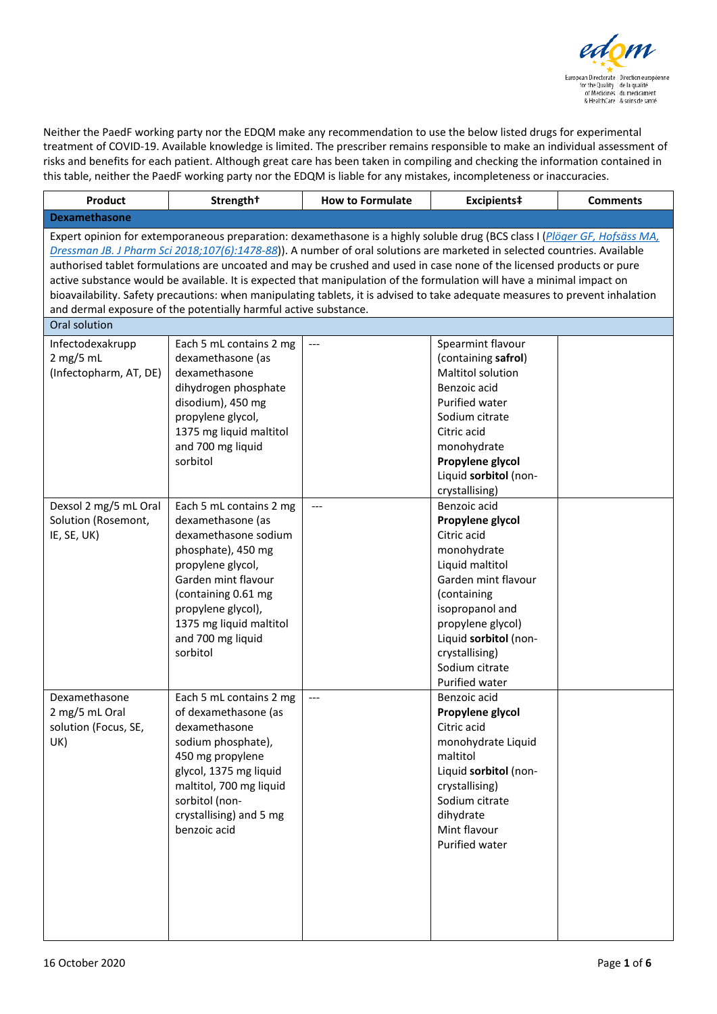

Neither the PaedF working party nor the EDQM make any recommendation to use the below listed drugs for experimental treatment of COVID-19. Available knowledge is limited. The prescriber remains responsible to make an individual assessment of risks and benefits for each patient. Although great care has been taken in compiling and checking the information contained in this table, neither the PaedF working party nor the EDQM is liable for any mistakes, incompleteness or inaccuracies.

| Product                                                                                                                                                                                                                                                                                                                                                                                                                                                                                                                                                                                                                                                                                                       | Strength <sup>+</sup>                                                                                                                                                                                                                           | <b>How to Formulate</b> | Excipients‡                                                                                                                                                                                                                                                      | <b>Comments</b> |  |
|---------------------------------------------------------------------------------------------------------------------------------------------------------------------------------------------------------------------------------------------------------------------------------------------------------------------------------------------------------------------------------------------------------------------------------------------------------------------------------------------------------------------------------------------------------------------------------------------------------------------------------------------------------------------------------------------------------------|-------------------------------------------------------------------------------------------------------------------------------------------------------------------------------------------------------------------------------------------------|-------------------------|------------------------------------------------------------------------------------------------------------------------------------------------------------------------------------------------------------------------------------------------------------------|-----------------|--|
| <b>Dexamethasone</b>                                                                                                                                                                                                                                                                                                                                                                                                                                                                                                                                                                                                                                                                                          |                                                                                                                                                                                                                                                 |                         |                                                                                                                                                                                                                                                                  |                 |  |
| Expert opinion for extemporaneous preparation: dexamethasone is a highly soluble drug (BCS class I (Plöger GF, Hofsäss MA,<br>Dressman JB. J Pharm Sci 2018;107(6):1478-88). A number of oral solutions are marketed in selected countries. Available<br>authorised tablet formulations are uncoated and may be crushed and used in case none of the licensed products or pure<br>active substance would be available. It is expected that manipulation of the formulation will have a minimal impact on<br>bioavailability. Safety precautions: when manipulating tablets, it is advised to take adequate measures to prevent inhalation<br>and dermal exposure of the potentially harmful active substance. |                                                                                                                                                                                                                                                 |                         |                                                                                                                                                                                                                                                                  |                 |  |
| Oral solution                                                                                                                                                                                                                                                                                                                                                                                                                                                                                                                                                                                                                                                                                                 |                                                                                                                                                                                                                                                 |                         |                                                                                                                                                                                                                                                                  |                 |  |
| Infectodexakrupp<br>$2$ mg/5 mL<br>(Infectopharm, AT, DE)                                                                                                                                                                                                                                                                                                                                                                                                                                                                                                                                                                                                                                                     | Each 5 mL contains 2 mg<br>dexamethasone (as<br>dexamethasone<br>dihydrogen phosphate<br>disodium), 450 mg<br>propylene glycol,<br>1375 mg liquid maltitol<br>and 700 mg liquid<br>sorbitol                                                     | ---                     | Spearmint flavour<br>(containing safrol)<br><b>Maltitol solution</b><br>Benzoic acid<br>Purified water<br>Sodium citrate<br>Citric acid<br>monohydrate<br>Propylene glycol<br>Liquid sorbitol (non-                                                              |                 |  |
| Dexsol 2 mg/5 mL Oral<br>Solution (Rosemont,<br>IE, SE, UK)                                                                                                                                                                                                                                                                                                                                                                                                                                                                                                                                                                                                                                                   | Each 5 mL contains 2 mg<br>dexamethasone (as<br>dexamethasone sodium<br>phosphate), 450 mg<br>propylene glycol,<br>Garden mint flavour<br>(containing 0.61 mg<br>propylene glycol),<br>1375 mg liquid maltitol<br>and 700 mg liquid<br>sorbitol | ---                     | crystallising)<br>Benzoic acid<br>Propylene glycol<br>Citric acid<br>monohydrate<br>Liquid maltitol<br>Garden mint flavour<br>(containing<br>isopropanol and<br>propylene glycol)<br>Liquid sorbitol (non-<br>crystallising)<br>Sodium citrate<br>Purified water |                 |  |
| Dexamethasone<br>2 mg/5 mL Oral<br>solution (Focus, SE,<br>UK)                                                                                                                                                                                                                                                                                                                                                                                                                                                                                                                                                                                                                                                | Each 5 mL contains 2 mg<br>of dexamethasone (as<br>dexamethasone<br>sodium phosphate),<br>450 mg propylene<br>glycol, 1375 mg liquid<br>maltitol, 700 mg liquid<br>sorbitol (non-<br>crystallising) and 5 mg<br>benzoic acid                    | ---                     | Benzoic acid<br>Propylene glycol<br>Citric acid<br>monohydrate Liquid<br>maltitol<br>Liquid sorbitol (non-<br>crystallising)<br>Sodium citrate<br>dihydrate<br>Mint flavour<br>Purified water                                                                    |                 |  |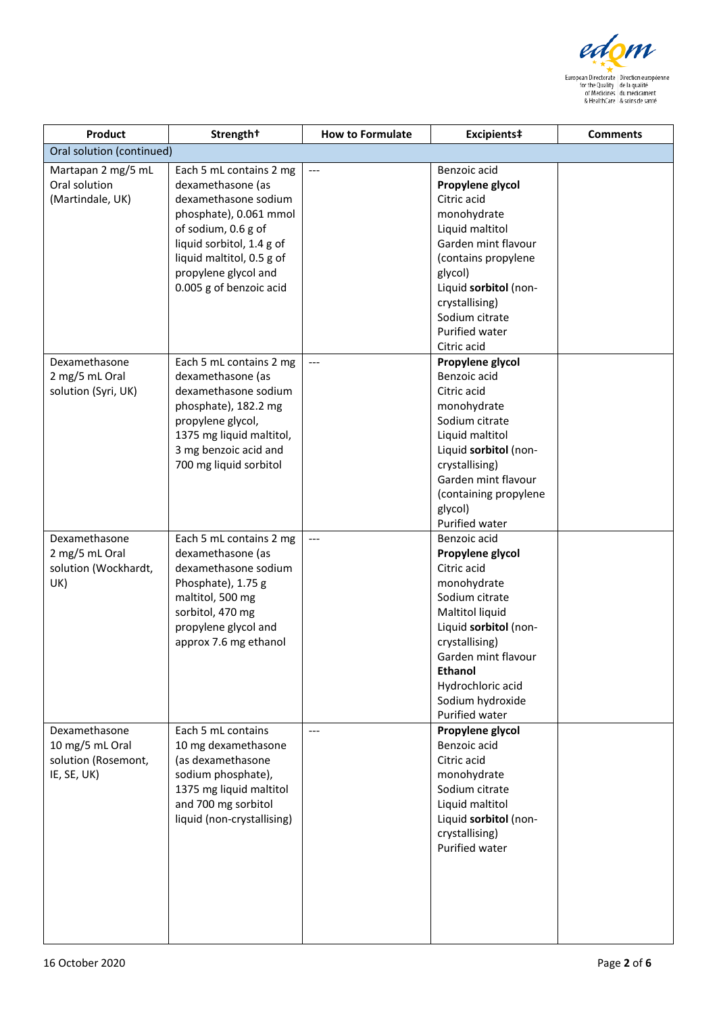

| Product                                                                | Strength <sup>+</sup>                                                                                                                                                                                                              | <b>How to Formulate</b> | Excipients‡                                                                                                                                                                                                                                        | <b>Comments</b> |
|------------------------------------------------------------------------|------------------------------------------------------------------------------------------------------------------------------------------------------------------------------------------------------------------------------------|-------------------------|----------------------------------------------------------------------------------------------------------------------------------------------------------------------------------------------------------------------------------------------------|-----------------|
| Oral solution (continued)                                              |                                                                                                                                                                                                                                    |                         |                                                                                                                                                                                                                                                    |                 |
| Martapan 2 mg/5 mL<br>Oral solution<br>(Martindale, UK)                | Each 5 mL contains 2 mg<br>dexamethasone (as<br>dexamethasone sodium<br>phosphate), 0.061 mmol<br>of sodium, 0.6 g of<br>liquid sorbitol, 1.4 g of<br>liquid maltitol, 0.5 g of<br>propylene glycol and<br>0.005 g of benzoic acid | ---                     | Benzoic acid<br>Propylene glycol<br>Citric acid<br>monohydrate<br>Liquid maltitol<br>Garden mint flavour<br>(contains propylene<br>glycol)<br>Liquid sorbitol (non-<br>crystallising)<br>Sodium citrate<br><b>Purified water</b><br>Citric acid    |                 |
| Dexamethasone<br>2 mg/5 mL Oral<br>solution (Syri, UK)                 | Each 5 mL contains 2 mg<br>dexamethasone (as<br>dexamethasone sodium<br>phosphate), 182.2 mg<br>propylene glycol,<br>1375 mg liquid maltitol,<br>3 mg benzoic acid and<br>700 mg liquid sorbitol                                   | ---                     | Propylene glycol<br>Benzoic acid<br>Citric acid<br>monohydrate<br>Sodium citrate<br>Liquid maltitol<br>Liquid sorbitol (non-<br>crystallising)<br>Garden mint flavour<br>(containing propylene<br>glycol)<br>Purified water                        |                 |
| Dexamethasone<br>2 mg/5 mL Oral<br>solution (Wockhardt,<br>UK)         | Each 5 mL contains 2 mg<br>dexamethasone (as<br>dexamethasone sodium<br>Phosphate), 1.75 g<br>maltitol, 500 mg<br>sorbitol, 470 mg<br>propylene glycol and<br>approx 7.6 mg ethanol                                                | ---                     | Benzoic acid<br>Propylene glycol<br>Citric acid<br>monohydrate<br>Sodium citrate<br>Maltitol liquid<br>Liquid sorbitol (non-<br>crystallising)<br>Garden mint flavour<br><b>Ethanol</b><br>Hydrochloric acid<br>Sodium hydroxide<br>Purified water |                 |
| Dexamethasone<br>10 mg/5 mL Oral<br>solution (Rosemont,<br>IE, SE, UK) | Each 5 mL contains<br>10 mg dexamethasone<br>(as dexamethasone<br>sodium phosphate),<br>1375 mg liquid maltitol<br>and 700 mg sorbitol<br>liquid (non-crystallising)                                                               | $---$                   | Propylene glycol<br>Benzoic acid<br>Citric acid<br>monohydrate<br>Sodium citrate<br>Liquid maltitol<br>Liquid sorbitol (non-<br>crystallising)<br>Purified water                                                                                   |                 |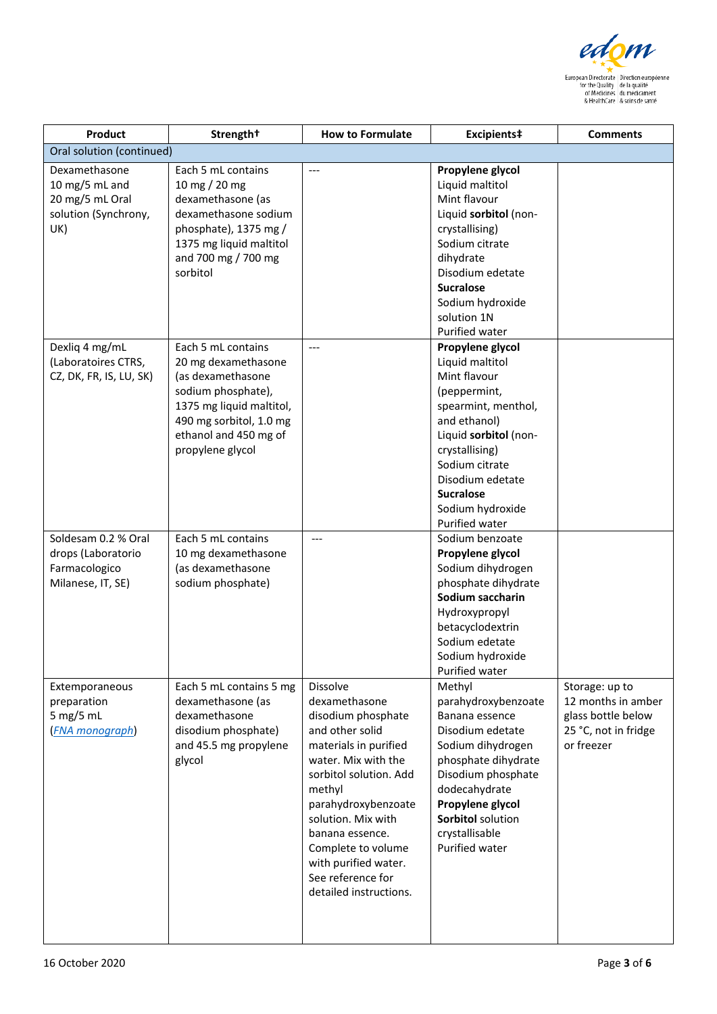

| Product                                                                           | Strength <sup>+</sup>                                                                                                                                                                    | <b>How to Formulate</b>                                                                                                                                                                                                                                                                                             | Excipients‡                                                                                                                                                                                                                                           | <b>Comments</b>                                                                                  |
|-----------------------------------------------------------------------------------|------------------------------------------------------------------------------------------------------------------------------------------------------------------------------------------|---------------------------------------------------------------------------------------------------------------------------------------------------------------------------------------------------------------------------------------------------------------------------------------------------------------------|-------------------------------------------------------------------------------------------------------------------------------------------------------------------------------------------------------------------------------------------------------|--------------------------------------------------------------------------------------------------|
| Oral solution (continued)                                                         |                                                                                                                                                                                          |                                                                                                                                                                                                                                                                                                                     |                                                                                                                                                                                                                                                       |                                                                                                  |
| Dexamethasone<br>10 mg/5 mL and<br>20 mg/5 mL Oral<br>solution (Synchrony,<br>UK) | Each 5 mL contains<br>10 mg / 20 mg<br>dexamethasone (as<br>dexamethasone sodium<br>phosphate), 1375 mg /<br>1375 mg liquid maltitol<br>and 700 mg / 700 mg<br>sorbitol                  | $---$                                                                                                                                                                                                                                                                                                               | Propylene glycol<br>Liquid maltitol<br>Mint flavour<br>Liquid sorbitol (non-<br>crystallising)<br>Sodium citrate<br>dihydrate<br>Disodium edetate<br><b>Sucralose</b><br>Sodium hydroxide<br>solution 1N<br>Purified water                            |                                                                                                  |
| Dexliq 4 mg/mL<br>(Laboratoires CTRS,<br>CZ, DK, FR, IS, LU, SK)                  | Each 5 mL contains<br>20 mg dexamethasone<br>(as dexamethasone<br>sodium phosphate),<br>1375 mg liquid maltitol,<br>490 mg sorbitol, 1.0 mg<br>ethanol and 450 mg of<br>propylene glycol | $---$                                                                                                                                                                                                                                                                                                               | Propylene glycol<br>Liquid maltitol<br>Mint flavour<br>(peppermint,<br>spearmint, menthol,<br>and ethanol)<br>Liquid sorbitol (non-<br>crystallising)<br>Sodium citrate<br>Disodium edetate<br><b>Sucralose</b><br>Sodium hydroxide<br>Purified water |                                                                                                  |
| Soldesam 0.2 % Oral<br>drops (Laboratorio<br>Farmacologico<br>Milanese, IT, SE)   | Each 5 mL contains<br>10 mg dexamethasone<br>(as dexamethasone<br>sodium phosphate)                                                                                                      | ---                                                                                                                                                                                                                                                                                                                 | Sodium benzoate<br>Propylene glycol<br>Sodium dihydrogen<br>phosphate dihydrate<br>Sodium saccharin<br>Hydroxypropyl<br>betacyclodextrin<br>Sodium edetate<br>Sodium hydroxide<br>Purified water                                                      |                                                                                                  |
| Extemporaneous<br>preparation<br>5 mg/5 mL<br><b>FNA</b> monograph)               | Each 5 mL contains 5 mg<br>dexamethasone (as<br>dexamethasone<br>disodium phosphate)<br>and 45.5 mg propylene<br>glycol                                                                  | Dissolve<br>dexamethasone<br>disodium phosphate<br>and other solid<br>materials in purified<br>water. Mix with the<br>sorbitol solution. Add<br>methyl<br>parahydroxybenzoate<br>solution. Mix with<br>banana essence.<br>Complete to volume<br>with purified water.<br>See reference for<br>detailed instructions. | Methyl<br>parahydroxybenzoate<br>Banana essence<br>Disodium edetate<br>Sodium dihydrogen<br>phosphate dihydrate<br>Disodium phosphate<br>dodecahydrate<br>Propylene glycol<br>Sorbitol solution<br>crystallisable<br>Purified water                   | Storage: up to<br>12 months in amber<br>glass bottle below<br>25 °C, not in fridge<br>or freezer |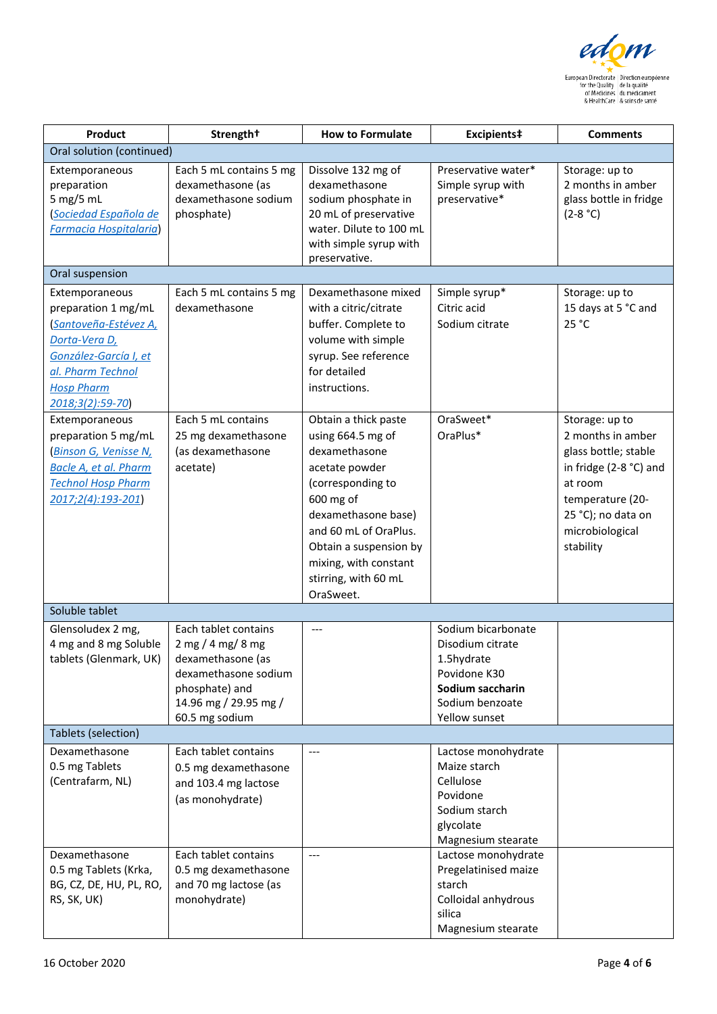

| Product                                                                                                                                                               | Strength <sup>+</sup>                                                                                                                                 | <b>How to Formulate</b>                                                                                                                                                                                                                                | Excipients‡                                                                                                                  | <b>Comments</b>                                                                                                                                                            |
|-----------------------------------------------------------------------------------------------------------------------------------------------------------------------|-------------------------------------------------------------------------------------------------------------------------------------------------------|--------------------------------------------------------------------------------------------------------------------------------------------------------------------------------------------------------------------------------------------------------|------------------------------------------------------------------------------------------------------------------------------|----------------------------------------------------------------------------------------------------------------------------------------------------------------------------|
| Oral solution (continued)                                                                                                                                             |                                                                                                                                                       |                                                                                                                                                                                                                                                        |                                                                                                                              |                                                                                                                                                                            |
| Extemporaneous<br>preparation<br>5 mg/5 mL<br>Sociedad Española de<br><b>Farmacia Hospitalaria</b>                                                                    | Each 5 mL contains 5 mg<br>dexamethasone (as<br>dexamethasone sodium<br>phosphate)                                                                    | Dissolve 132 mg of<br>dexamethasone<br>sodium phosphate in<br>20 mL of preservative<br>water. Dilute to 100 mL<br>with simple syrup with<br>preservative.                                                                                              | Preservative water*<br>Simple syrup with<br>preservative*                                                                    | Storage: up to<br>2 months in amber<br>glass bottle in fridge<br>$(2-8 °C)$                                                                                                |
| Oral suspension                                                                                                                                                       |                                                                                                                                                       |                                                                                                                                                                                                                                                        |                                                                                                                              |                                                                                                                                                                            |
| Extemporaneous<br>preparation 1 mg/mL<br>Santoveña-Estévez A,<br>Dorta-Vera D,<br>González-García I, et<br>al. Pharm Technol<br><b>Hosp Pharm</b><br>2018;3(2):59-70) | Each 5 mL contains 5 mg<br>dexamethasone                                                                                                              | Dexamethasone mixed<br>with a citric/citrate<br>buffer. Complete to<br>volume with simple<br>syrup. See reference<br>for detailed<br>instructions.                                                                                                     | Simple syrup*<br>Citric acid<br>Sodium citrate                                                                               | Storage: up to<br>15 days at 5 °C and<br>25 °C                                                                                                                             |
| Extemporaneous<br>preparation 5 mg/mL<br><b>Binson G, Venisse N,</b><br>Bacle A, et al. Pharm<br><b>Technol Hosp Pharm</b><br>2017;2(4):193-201)                      | Each 5 mL contains<br>25 mg dexamethasone<br>(as dexamethasone<br>acetate)                                                                            | Obtain a thick paste<br>using 664.5 mg of<br>dexamethasone<br>acetate powder<br>(corresponding to<br>600 mg of<br>dexamethasone base)<br>and 60 mL of OraPlus.<br>Obtain a suspension by<br>mixing, with constant<br>stirring, with 60 mL<br>OraSweet. | OraSweet*<br>OraPlus*                                                                                                        | Storage: up to<br>2 months in amber<br>glass bottle; stable<br>in fridge (2-8 °C) and<br>at room<br>temperature (20-<br>25 °C); no data on<br>microbiological<br>stability |
| Soluble tablet                                                                                                                                                        |                                                                                                                                                       |                                                                                                                                                                                                                                                        |                                                                                                                              |                                                                                                                                                                            |
| Glensoludex 2 mg,<br>4 mg and 8 mg Soluble<br>tablets (Glenmark, UK)                                                                                                  | Each tablet contains<br>$2$ mg / 4 mg/ 8 mg<br>dexamethasone (as<br>dexamethasone sodium<br>phosphate) and<br>14.96 mg / 29.95 mg /<br>60.5 mg sodium | ---                                                                                                                                                                                                                                                    | Sodium bicarbonate<br>Disodium citrate<br>1.5hydrate<br>Povidone K30<br>Sodium saccharin<br>Sodium benzoate<br>Yellow sunset |                                                                                                                                                                            |
| Tablets (selection)                                                                                                                                                   |                                                                                                                                                       |                                                                                                                                                                                                                                                        |                                                                                                                              |                                                                                                                                                                            |
| Dexamethasone<br>0.5 mg Tablets<br>(Centrafarm, NL)                                                                                                                   | Each tablet contains<br>0.5 mg dexamethasone<br>and 103.4 mg lactose<br>(as monohydrate)                                                              | ---                                                                                                                                                                                                                                                    | Lactose monohydrate<br>Maize starch<br>Cellulose<br>Povidone<br>Sodium starch<br>glycolate<br>Magnesium stearate             |                                                                                                                                                                            |
| Dexamethasone<br>0.5 mg Tablets (Krka,<br>BG, CZ, DE, HU, PL, RO,<br>RS, SK, UK)                                                                                      | Each tablet contains<br>0.5 mg dexamethasone<br>and 70 mg lactose (as<br>monohydrate)                                                                 | ---                                                                                                                                                                                                                                                    | Lactose monohydrate<br>Pregelatinised maize<br>starch<br>Colloidal anhydrous<br>silica<br>Magnesium stearate                 |                                                                                                                                                                            |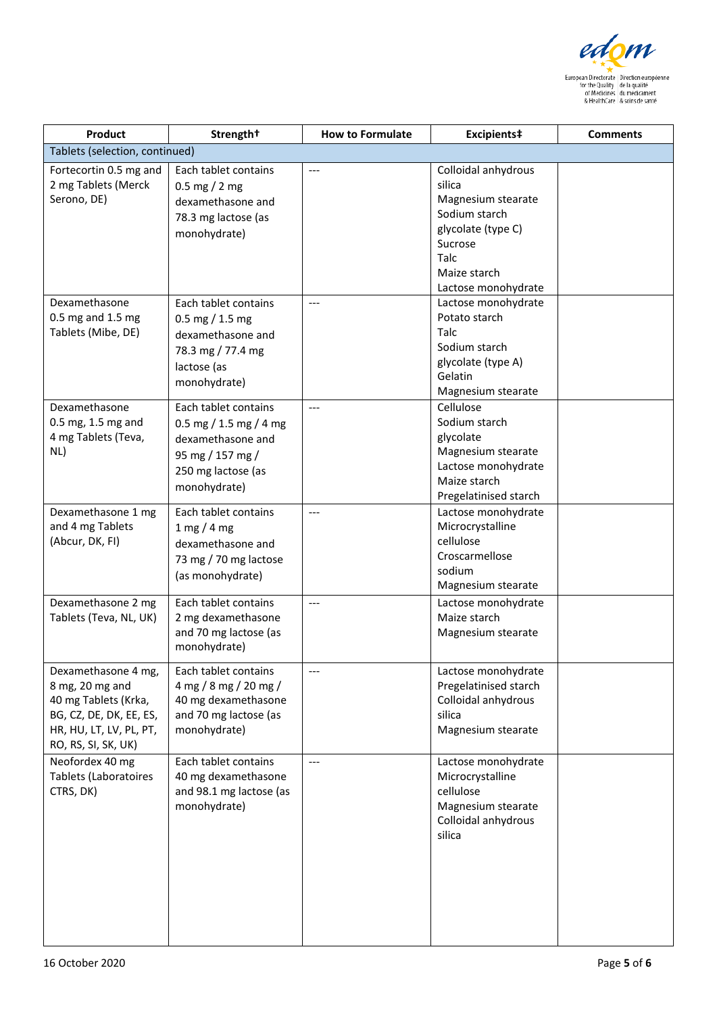

| Product                                                                                                                                     | Strength <sup>+</sup>                                                                                                         | <b>How to Formulate</b> | Excipients‡                                                                                                                   | <b>Comments</b> |
|---------------------------------------------------------------------------------------------------------------------------------------------|-------------------------------------------------------------------------------------------------------------------------------|-------------------------|-------------------------------------------------------------------------------------------------------------------------------|-----------------|
| Tablets (selection, continued)                                                                                                              |                                                                                                                               |                         |                                                                                                                               |                 |
| Fortecortin 0.5 mg and<br>2 mg Tablets (Merck<br>Serono, DE)                                                                                | Each tablet contains<br>$0.5 \, \text{mg} / 2 \, \text{mg}$<br>dexamethasone and<br>78.3 mg lactose (as                       | ---                     | Colloidal anhydrous<br>silica<br>Magnesium stearate<br>Sodium starch                                                          |                 |
|                                                                                                                                             | monohydrate)                                                                                                                  |                         | glycolate (type C)<br>Sucrose<br>Talc<br>Maize starch<br>Lactose monohydrate                                                  |                 |
| Dexamethasone<br>0.5 mg and 1.5 mg<br>Tablets (Mibe, DE)                                                                                    | Each tablet contains<br>0.5 mg $/$ 1.5 mg<br>dexamethasone and<br>78.3 mg / 77.4 mg<br>lactose (as<br>monohydrate)            | $---$                   | Lactose monohydrate<br>Potato starch<br>Talc<br>Sodium starch<br>glycolate (type A)<br>Gelatin<br>Magnesium stearate          |                 |
| Dexamethasone<br>0.5 mg, 1.5 mg and<br>4 mg Tablets (Teva,<br>NL)                                                                           | Each tablet contains<br>0.5 mg / 1.5 mg / 4 mg<br>dexamethasone and<br>95 mg / 157 mg /<br>250 mg lactose (as<br>monohydrate) | $---$                   | Cellulose<br>Sodium starch<br>glycolate<br>Magnesium stearate<br>Lactose monohydrate<br>Maize starch<br>Pregelatinised starch |                 |
| Dexamethasone 1 mg<br>and 4 mg Tablets<br>(Abcur, DK, FI)                                                                                   | Each tablet contains<br>1 mg/4 mg<br>dexamethasone and<br>73 mg / 70 mg lactose<br>(as monohydrate)                           | $---$                   | Lactose monohydrate<br>Microcrystalline<br>cellulose<br>Croscarmellose<br>sodium<br>Magnesium stearate                        |                 |
| Dexamethasone 2 mg<br>Tablets (Teva, NL, UK)                                                                                                | Each tablet contains<br>2 mg dexamethasone<br>and 70 mg lactose (as<br>monohydrate)                                           | ---                     | Lactose monohydrate<br>Maize starch<br>Magnesium stearate                                                                     |                 |
| Dexamethasone 4 mg,<br>8 mg, 20 mg and<br>40 mg Tablets (Krka,<br>BG, CZ, DE, DK, EE, ES,<br>HR, HU, LT, LV, PL, PT,<br>RO, RS, SI, SK, UK) | Each tablet contains<br>4 mg / 8 mg / 20 mg /<br>40 mg dexamethasone<br>and 70 mg lactose (as<br>monohydrate)                 |                         | Lactose monohydrate<br>Pregelatinised starch<br>Colloidal anhydrous<br>silica<br>Magnesium stearate                           |                 |
| Neofordex 40 mg<br>Tablets (Laboratoires<br>CTRS, DK)                                                                                       | Each tablet contains<br>40 mg dexamethasone<br>and 98.1 mg lactose (as<br>monohydrate)                                        | ---                     | Lactose monohydrate<br>Microcrystalline<br>cellulose<br>Magnesium stearate<br>Colloidal anhydrous<br>silica                   |                 |